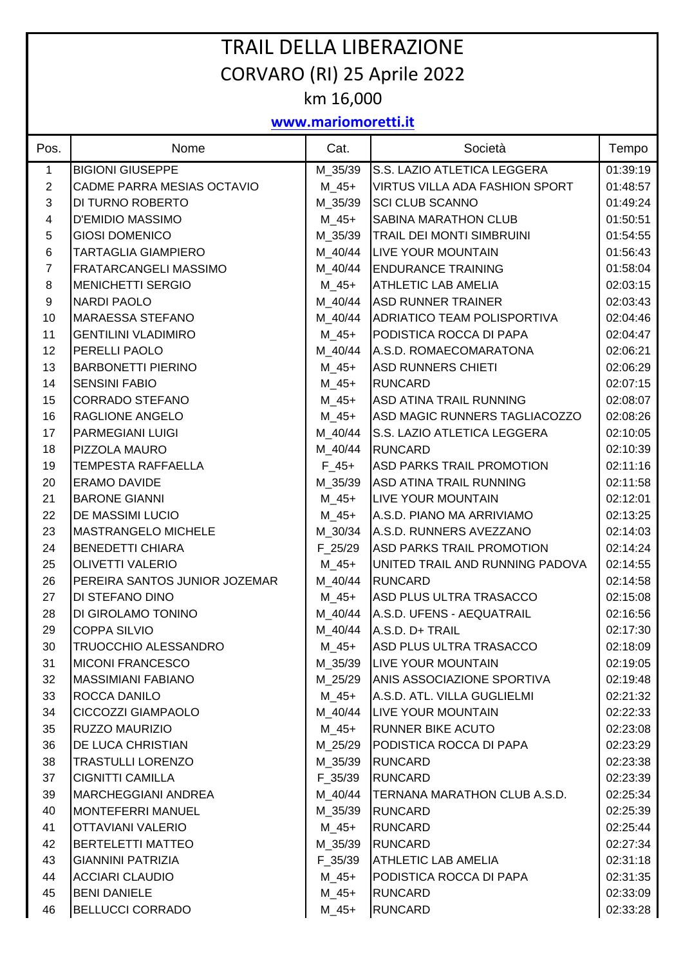## TRAIL DELLA LIBERAZIONE CORVARO (RI) 25 Aprile 2022 km 16,000

## **www.mariomoretti.it**

| Pos.                    | Nome                          | Cat.         | Società                               | Tempo    |
|-------------------------|-------------------------------|--------------|---------------------------------------|----------|
| $\mathbf{1}$            | <b>BIGIONI GIUSEPPE</b>       | M_35/39      | S.S. LAZIO ATLETICA LEGGERA           | 01:39:19 |
| $\overline{2}$          | CADME PARRA MESIAS OCTAVIO    | $M_45+$      | <b>VIRTUS VILLA ADA FASHION SPORT</b> | 01:48:57 |
| 3                       | DI TURNO ROBERTO              | M_35/39      | <b>SCI CLUB SCANNO</b>                | 01:49:24 |
| $\overline{\mathbf{4}}$ | <b>D'EMIDIO MASSIMO</b>       | $M_45+$      | SABINA MARATHON CLUB                  | 01:50:51 |
| $\sqrt{5}$              | <b>GIOSI DOMENICO</b>         | M_35/39      | <b>TRAIL DEI MONTI SIMBRUINI</b>      | 01:54:55 |
| 6                       | <b>TARTAGLIA GIAMPIERO</b>    | M_40/44      | LIVE YOUR MOUNTAIN                    | 01:56:43 |
| $\overline{7}$          | <b>FRATARCANGELI MASSIMO</b>  | M 40/44      | <b>ENDURANCE TRAINING</b>             | 01:58:04 |
| $\bf 8$                 | <b>MENICHETTI SERGIO</b>      | $M_45+$      | <b>ATHLETIC LAB AMELIA</b>            | 02:03:15 |
| $\boldsymbol{9}$        | <b>NARDI PAOLO</b>            | M_40/44      | <b>ASD RUNNER TRAINER</b>             | 02:03:43 |
| 10                      | <b>MARAESSA STEFANO</b>       | M_40/44      | <b>ADRIATICO TEAM POLISPORTIVA</b>    | 02:04:46 |
| 11                      | <b>GENTILINI VLADIMIRO</b>    | $M_45+$      | PODISTICA ROCCA DI PAPA               | 02:04:47 |
| 12                      | PERELLI PAOLO                 | M 40/44      | A.S.D. ROMAECOMARATONA                | 02:06:21 |
| 13                      | <b>BARBONETTI PIERINO</b>     | $M_45+$      | <b>ASD RUNNERS CHIETI</b>             | 02:06:29 |
| 14                      | <b>SENSINI FABIO</b>          | $M_45+$      | <b>RUNCARD</b>                        | 02:07:15 |
| 15                      | <b>CORRADO STEFANO</b>        | $M_45+$      | <b>ASD ATINA TRAIL RUNNING</b>        | 02:08:07 |
| 16                      | <b>RAGLIONE ANGELO</b>        | $M_45+$      | ASD MAGIC RUNNERS TAGLIACOZZO         | 02:08:26 |
| 17                      | PARMEGIANI LUIGI              | M_40/44      | S.S. LAZIO ATLETICA LEGGERA           | 02:10:05 |
| 18                      | PIZZOLA MAURO                 | M_40/44      | <b>RUNCARD</b>                        | 02:10:39 |
| 19                      | <b>TEMPESTA RAFFAELLA</b>     | $F_45+$      | ASD PARKS TRAIL PROMOTION             | 02:11:16 |
| 20                      | <b>ERAMO DAVIDE</b>           | M_35/39      | <b>ASD ATINA TRAIL RUNNING</b>        | 02:11:58 |
| 21                      | <b>BARONE GIANNI</b>          | $M_45+$      | <b>LIVE YOUR MOUNTAIN</b>             | 02:12:01 |
| 22                      | DE MASSIMI LUCIO              | $M_45+$      | A.S.D. PIANO MA ARRIVIAMO             | 02:13:25 |
| 23                      | <b>MASTRANGELO MICHELE</b>    | M_30/34      | A.S.D. RUNNERS AVEZZANO               | 02:14:03 |
| 24                      | <b>BENEDETTI CHIARA</b>       | F 25/29      | <b>ASD PARKS TRAIL PROMOTION</b>      | 02:14:24 |
| 25                      | <b>OLIVETTI VALERIO</b>       | $M_45+$      | UNITED TRAIL AND RUNNING PADOVA       | 02:14:55 |
| 26                      | PEREIRA SANTOS JUNIOR JOZEMAR | M_40/44      | <b>RUNCARD</b>                        | 02:14:58 |
| 27                      | DI STEFANO DINO               | $M_45+$      | ASD PLUS ULTRA TRASACCO               | 02:15:08 |
| 28                      | DI GIROLAMO TONINO            | M 40/44      | A.S.D. UFENS - AEQUATRAIL             | 02:16:56 |
| 29                      | <b>COPPA SILVIO</b>           | M_40/44      | A.S.D. D+ TRAIL                       | 02:17:30 |
| 30                      | <b>TRUOCCHIO ALESSANDRO</b>   | $M_45+$      | ASD PLUS ULTRA TRASACCO               | 02:18:09 |
| 31                      | <b>MICONI FRANCESCO</b>       | M_35/39      | <b>LIVE YOUR MOUNTAIN</b>             | 02:19:05 |
| 32                      | <b>MASSIMIANI FABIANO</b>     | M_25/29      | <b>ANIS ASSOCIAZIONE SPORTIVA</b>     | 02:19:48 |
| 33                      | ROCCA DANILO                  | $M_45+$      | A.S.D. ATL. VILLA GUGLIELMI           | 02:21:32 |
| 34                      | CICCOZZI GIAMPAOLO            | M 40/44      | LIVE YOUR MOUNTAIN                    | 02:22:33 |
| 35                      | RUZZO MAURIZIO                | M_45+        | RUNNER BIKE ACUTO                     | 02:23:08 |
| 36                      | DE LUCA CHRISTIAN             | M_25/29      | PODISTICA ROCCA DI PAPA               | 02:23:29 |
| 38                      | <b>TRASTULLI LORENZO</b>      | M_35/39      | <b>RUNCARD</b>                        | 02:23:38 |
| 37                      | <b>CIGNITTI CAMILLA</b>       | $F_{.}35/39$ | <b>RUNCARD</b>                        | 02:23:39 |
| 39                      | <b>MARCHEGGIANI ANDREA</b>    | M_40/44      | TERNANA MARATHON CLUB A.S.D.          | 02:25:34 |
| 40                      | MONTEFERRI MANUEL             | M_35/39      | <b>RUNCARD</b>                        | 02:25:39 |
| 41                      | OTTAVIANI VALERIO             | M_45+        | <b>RUNCARD</b>                        | 02:25:44 |
| 42                      | BERTELETTI MATTEO             | M_35/39      | <b>RUNCARD</b>                        | 02:27:34 |
| 43                      | <b>GIANNINI PATRIZIA</b>      | $F_{.}35/39$ | ATHLETIC LAB AMELIA                   | 02:31:18 |
| 44                      | <b>ACCIARI CLAUDIO</b>        | M_45+        | PODISTICA ROCCA DI PAPA               | 02:31:35 |
| 45                      | <b>BENI DANIELE</b>           | $M_45+$      | <b>RUNCARD</b>                        | 02:33:09 |
| 46                      | <b>BELLUCCI CORRADO</b>       | $M_45+$      | <b>RUNCARD</b>                        | 02:33:28 |